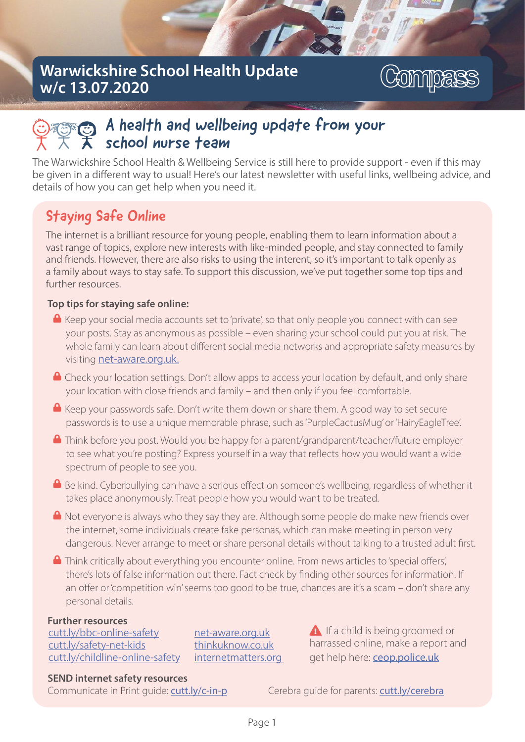## Warwickshire School Health Update w/c 13.07.2020



# A health and wellbeing update from your school nurse team

The Warwickshire School Health & Wellbeing Service is still here to provide support - even if this may be given in a different way to usual! Here's our latest newsletter with useful links, wellbeing advice, and details of how you can get help when you need it.

# Staying Safe Online

The internet is a brilliant resource for young people, enabling them to learn information about a vast range of topics, explore new interests with like-minded people, and stay connected to family and friends. However, there are also risks to using the interent, so it's important to talk openly as a family about ways to stay safe. To support this discussion, we've put together some top tips and further resources.

#### Top tips for staying safe online:

- $\triangle$  Keep your social media accounts set to 'private', so that only people you connect with can see your posts. Stay as anonymous as possible – even sharing your school could put you at risk. The whole family can learn about different social media networks and appropriate safety measures by visiting net-aware.org.uk.
- $\triangle$  Check your location settings. Don't allow apps to access your location by default, and only share your location with close friends and family – and then only if you feel comfortable.
- $\triangle$  Keep your passwords safe. Don't write them down or share them. A good way to set secure passwords is to use a unique memorable phrase, such as 'PurpleCactusMug' or 'HairyEagleTree'.
- $\Box$  Think before you post. Would you be happy for a parent/grandparent/teacher/future employer to see what you're posting? Express yourself in a way that reflects how you would want a wide spectrum of people to see you.
- $\blacksquare$  Be kind. Cyberbullying can have a serious effect on someone's wellbeing, regardless of whether it takes place anonymously. Treat people how you would want to be treated.
- $\triangle$  Not everyone is always who they say they are. Although some people do make new friends over the internet, some individuals create fake personas, which can make meeting in person very dan gerous. Never arrange to meet or share personal details without talking to a trusted adult first.
- $\blacksquare$  Think critically about everything you encounter online. From news articles to 'special offers', there's lots of false information out there. Fact check by finding other sources for information. If an offer or 'competition win' seems too good to be true, chances are it's a scam – don't share any personal details.

#### Further resources

cutt.ly/bbc-online-safety cutt.ly/safety-net-kids cutt.ly/childline-online-safety

net-aware.org.uk thin ku k n ow .co.u k internet matters.org  $\triangle$  If a child is being groomed or harrassed online, make a report and get help here: **ceop.police.uk** 

#### SEND internet safety resources

Communicate in Print quide: cutt.ly/c-in-p Cerebra quide for parents: cutt.ly/cerebra